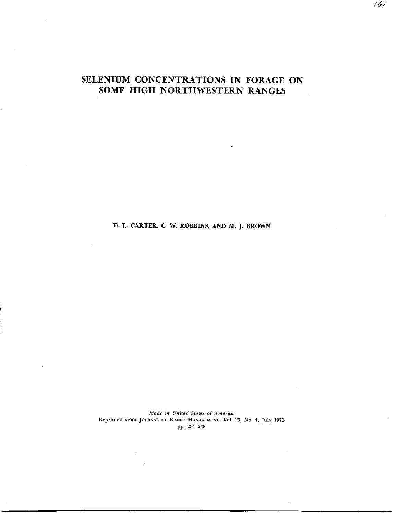## SELENIUM CONCENTRATIONS IN FORAGE ON SOME HIGH NORTHWESTERN RANGES

 $16/$ 

**D. L. CARTER, C.** W. ROBBINS, AND M. J. BROWN

*Made in United Stales of America* Reprinted from JOURNAL OF RANGE MANAGEMENT, VOL 23, No. 4, July 1970 pp. 234-238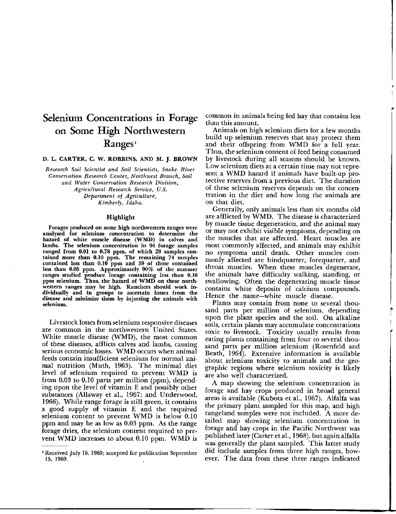# Selenium Concentrations in Forage on Some High Northwestern Ranges<sup>1</sup>

## D. L. CARTER, C. W. ROBBINS, AND M. J. BROWN

*Research Soil Scientist and Soil Scientists, Snake River Conservation Research Center, Northwest Branch, Soil and Water Conservation Research Division, Agricultural Research Service, U.S. Department of Agriculture, Kimberly, Idaho.*

### Highlight

Forages produced on some high northwestern ranges were analyzed for selenium concentration to determine the hazard of white muscle disease (WMD) in calves and lambs. The selenium concentration *in* 94 forage samples ranged from 0.01 to 0.78 ppm, of which 20 samples contained more than 0.10 ppm. The remaining 74 samples contained less than 0.10 ppm and 59 of those contained less than 0.05 ppm. Approximately 90% of the summer ranges studied produce forage containing less than 0.10 ppm selenium. Thus, the hazard of WMD on these northwestern ranges may be high. Ranchers should work individually and in groups to ascertain losses from the disease and minimize them by injecting the animals with selenium.

Livestock losses from selenium responsive diseases are common in the northwestern United States. White muscle disease (WMD), the most common of these diseases, afflicts calves and lambs, causing serious economic losses. WMD occurs when animal feeds contain insufficient selenium for normal animal nutrition (Muth, 1963). The minimal diet level of selenium required to prevent WMD is from 0.03 to 0.10 parts per million (ppm), depending upon the level of vitamin E and possibly other substances (Allaway et al., 1967; and Underwood, 1966). While range forage is still green, it contains a good supply of vitamin E and the required selenium content to prevent WMD is below 0.10 ppm and may be as low as 0.03 ppm. As the range forage dries, the selenium content required to prevent WMD increases to about 0.10 ppm. WMD is common in animals being fed hay that contains less than this amount.

Animals on high selenium diets for a few months build up selenium reserves that may protect them and their offspring from WMD for a full year. Thus, the selenium content of feed being consumed by livestock during all seasons should be known. Low selenium diets at a certain time may not represent a WMD hazard if animals have built-up protective reserves from a previous diet. The duration of these selenium reserves depends on the concentration in the diet and how long the animals are on that diet.

Generally, only animals less than six months old are afflicted by WMD. The disease is characterized by muscle tissue degeneration, and the animal may or may not exhibit visible symptoms, depending on the muscles that are affected. Heart muscles are most commonly affected, and animals may exhibit no symptoms until death. Other muscles commonly affected are hindquarter, forequarter, and throat muscles. When these muscles degenerate, the animals have difficulty walking, standing, or swallowing. Often the degenerating muscle tissue contains white deposits of calcium compounds. Hence the name—white muscle disease.

Plants may contain from none to several thousand parts per million of selenium, depending upon the plant species and the soil. On alkaline soils, certain plants may accumulate concentrations toxic to livestock. Toxicity usually results from eating plants containing from four to several thousand parts per million selenium (Rosenfeld and Beath, 1964). Extensive information is available about selenium toxicity to animals and the geographic regions where selenium toxicity is likely are also well characterized.

A map showing the selenium concentration in forage and hay crops produced in broad general areas is available (Kubota et al., 1967). Alfalfa was the primary plant sampled for this map, and high rangeland samples were not included. A more detailed map showing selenium concentration in forage and hay crops in the Pacific Northwest was published later (Carter et al., 1968), but again alfalfa was generally the plant sampled. This latter study did include samples from three high ranges, however. The data from these three ranges indicated

<sup>&#</sup>x27;Received July 16, 1969; accepted for publication September 15, 1969.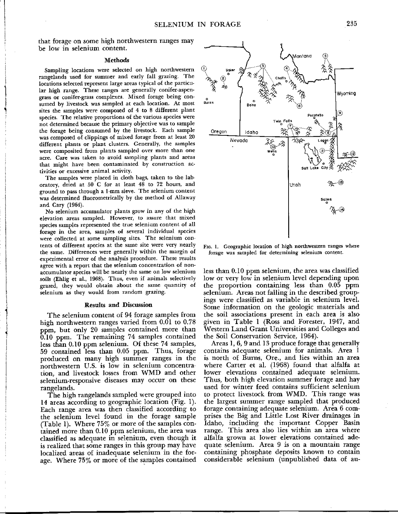that forage on some high northwestern ranges may be low in selenium content.

#### Methods

Sampling locations were selected on high northwestern rangelands used for summer and early fall grazing. The locations selected represent large areas typical of the particular high range. These ranges are generally conifer-aspengrass or conifer-grass complexes. Mixed forage being consumed by livestock was sampled at each location. At most sites the samples were composed of 4 to 8 different plant species. The relative proportions of the various species were not determined because the primary objective was to sample the forage being consumed by the livestock. Each sample was composed of clippings of mixed forage from at least 20 different plants or plant clusters. Generally, the samples were composited from plants sampled over more than one acre. Care was taken to avoid sampling plants and areas that might have been contaminated by construction activities or excessive animal. activity.

The samples were placed in cloth bags, taken to the laboratory, dried at 50 C for at least 48 to 72 hours, and ground to pass through a 1-mm sieve. The selenium content was determined fluorometrically by the method of Allaway and Cary (1964).

No selenium accumulator plants grow in any of the high elevation areas sampled. However, to assure that mixed species samples represented the true selenium content of all forage in the area, samples of several individual species were collected at some sampling sites. The selenium contents of different species at the same site were very nearly the same. Differences were generally within the margin of experimental error of the analysis procedure. These results agree with a report that the selenium concentration of nonaccumulator species will be nearly the same on low selenium soils (Ehlig et al., 1968). Thus, even if animals selectively grazed, they would obtain about the same quantity of selenium as they would from random grazing.

#### **Results and Discussion**

The selenium content of 94 forage samples from high northwestern ranges varied from 0.01 to 0.78 ppm, but only 20 samples contained more than 0.10 ppm. The remaining 74 samples contained less than 0.10 ppm selenium. Of these 74 samples, 59 contained less than 0.05 ppm. Thus, forage produced on many high summer ranges in the northwestern U.S. is low in selenium concentration, and livestock losses from WMD and other selenium-responsive diseases may occur on these rangelands.

The high rangelands sampled were grouped into 14 areas according to geographic location (Fig. 1). Each range area was then classified according to the selenium level found in the forage sample (Table 1). Where 75% or more of the samples contained more than 0.10 ppm selenium, the area was classified as adequate in selenium, even though it is realized that some ranges in this group may have localized areas of inadequate selenium in the forage. Where 75% or more of the samples contained



FIG. 1. Geographic location of high northwestern ranges where forage was sampled for determining selenium content.

less than 0.10 ppm selenium, the area was classified low or very low in selenium level depending upon the proportion containing less than 0.05 ppm selenium. Areas not falling in the described groupings were classified as variable in selenium level. Some information on the geologic materials and the soil associations present in each area is also given in Table I (Ross and Forester, 1947, and Western Land Grant Universities and Colleges and the Soil Conservation Service, 1964).

Areas 1, 6, 9 and 13 produce forage that generally contains adequate selenium for animals. Area <sup>I</sup> is north of Burns, Ore., and lies within an area where Carter et al. (1968) found that alfalfa at lower elevations contained adequate selenium. Thus, both high elevation summer forage and hay used for winter feed contains sufficient selenium to protect livestock from WMD. This range was the largest summer range sampled that produced forage containing adequate selenium. Area 6 comprises the Big and Little Lost River drainages in Idaho, including the important Copper Basin range. This area also lies within an area where alfalfa grown at lower elevations contained adequate selenium. Area 9 is on a mountain range containing phosphate deposits known to contain considerable selenium (unpublished data of au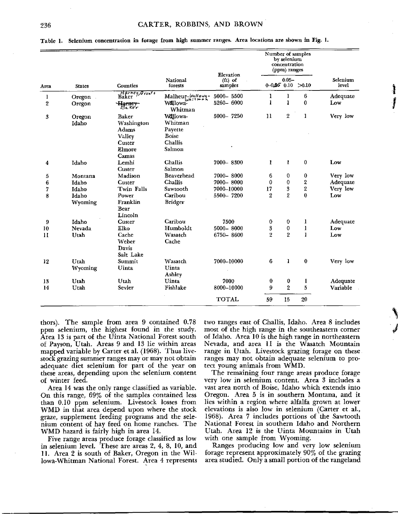Table 1. **Selenium concentration in forage from high summer ranges. Area** locations are **shown in Fig.** 1.

| Area         | <b>States</b> | Counties                                                               | <b>National</b><br>forests            | Elevation          | Number of samples<br>by selenium<br>concentration<br>(ppm) ranges |                |                         | Selenium<br>level |
|--------------|---------------|------------------------------------------------------------------------|---------------------------------------|--------------------|-------------------------------------------------------------------|----------------|-------------------------|-------------------|
|              |               |                                                                        |                                       | (tt) of<br>samples | $0.05 -$<br>$0 - 0.050010$<br>>0.10                               |                |                         |                   |
| 1            | <b>Oregon</b> | Harney, Grant+<br>Baker                                                | $\text{Malheur}_{\omega h}^{luallow}$ | 5000-5500          | ı                                                                 | 1              | 6                       | Adequate          |
| 2            | Oregon        | $\frac{H_{\text{grnerv}}}{\mathcal{B}_{\text{c}} \kappa_{\text{e}} r}$ | Willowa <sup>"</sup><br>Whitman       | 5260-6000          | 1                                                                 | $\mathbf{I}$   | 0                       | Low               |
| 3            | Oregon        | Baker                                                                  | Willowa-                              | 5000-7250          | 11                                                                | 2              | 1                       | Very low          |
|              | Idaho         | Washington                                                             | Whitman                               |                    |                                                                   |                |                         |                   |
|              |               | <b>Adams</b>                                                           | Payette                               |                    |                                                                   |                |                         |                   |
|              |               | Valley                                                                 | <b>Boise</b>                          |                    |                                                                   |                |                         |                   |
|              |               | Custer                                                                 | Challis                               |                    |                                                                   |                |                         |                   |
|              |               | Elmore                                                                 | Salmon                                |                    |                                                                   |                |                         |                   |
|              |               | Camas                                                                  |                                       |                    |                                                                   |                |                         |                   |
| 4            | Idaho         | Lemhi<br><b>Custer</b>                                                 | Challis<br>Salmon                     | 7000-8300          | ı                                                                 | 1              | $\mathbf{0}$            | Low               |
|              | Montana       | Madison                                                                | Beaverhead                            | 7000-8000          | 6                                                                 | 0              | 0                       | Very low          |
| 5<br>6       | Idaho         | Custer                                                                 | Challis                               | 7000-8000          | 0                                                                 | 0              | $\overline{\mathbf{2}}$ | Adequate          |
| 7            | Idaho         | Twin Falls                                                             | Sawtooth                              | 7000-10000         | 17                                                                | 3              | $\overline{\mathbf{2}}$ | Very low          |
| 8            | Idaho         | Power                                                                  | Caribou                               | 5500-7200          | $\overline{2}$                                                    | $\overline{2}$ | $\bf{0}$                | Low               |
|              | Wyoming       | Franklin                                                               | <b>Bridger</b>                        |                    |                                                                   |                |                         |                   |
|              |               | Bear                                                                   |                                       |                    |                                                                   |                |                         |                   |
|              |               | Lincoln                                                                |                                       |                    |                                                                   |                |                         |                   |
| 9            | Idaho         | Custer                                                                 | Caribou                               | 7500               | 0                                                                 | $\bf{0}$       | 1                       | Adequate          |
| 10           | <b>Nevada</b> | Elko                                                                   | Humboldt                              | 5000-8000          | 3                                                                 | 0              | 1                       | Low               |
| $\mathbf{H}$ | Utah          | Cache                                                                  | Wasatch                               | 6750-8600          | 2                                                                 | $\overline{2}$ | $\mathbf{1}$            | Low               |
|              |               | Weber                                                                  | Cache                                 |                    |                                                                   |                |                         |                   |
|              |               | Davis                                                                  |                                       |                    |                                                                   |                |                         |                   |
|              |               | Salt Lake                                                              |                                       |                    |                                                                   |                |                         |                   |
| 12           | Utah          | Summit                                                                 | Wasatch                               | 7000-10000         | 6                                                                 | 1              | $\bf{0}$                | Very low          |
|              | Wyoming       | Uinta                                                                  | Uinta<br>Ashley                       |                    |                                                                   |                |                         |                   |
| 13           | Utah          | Utah                                                                   | Uinta                                 | 7000               | $\bf{0}$                                                          | 0              | 1                       | Adequate          |
| 14           | Utah          | Sevier                                                                 | Fishlake                              | 8000-10000         | 9                                                                 | $\overline{2}$ | 5                       | Variable          |
|              |               |                                                                        |                                       | <b>TOTAL</b>       | 59                                                                | 15             | 20                      |                   |

thors). The sample from area 9 contained 0.78 ppm selenium, the highest found in the study. Area 13 is part of the Uinta National Forest south of Payson, Utah. Areas 9 and 13 lie within areas mapped variable by Carter et al. (1968). Thus livestock grazing summer ranges may or may not obtain adequate diet selenium for part of the year on these areas, depending upon the selenium content of winter feed.

Area 14 was the only range classified as variable. On this range, 69% of the samples contained less than 0.10 ppm selenium. Livestock losses from WMD in that area depend upon where the stock graze, supplement feeding programs and the selenium content of hay feed on home ranches. The WMD hazard is fairly high in area 14.

Five range areas produce forage classified as low in selenium level. These are areas 2, 4, 8, 10, and 11. Area 2 is south of Baker, Oregon in the Willowa-Whitman National Forest. Area 4 represents two ranges east of Challis, Idaho. Area 8 includes most of the high range in the southeastern corner of Idaho. Area 10 is the high range in northeastern Nevada, and area 11 is the Wasatch Mountain range in Utah. Livestock grazing forage on these ranges may not obtain adequate selenium to protect young animals from WMD.

The remaining four range areas produce forage very low in selenium content. Area 3 includes a vast area north of Boise, Idaho which extends into Oregon. Area 5 is in southern Montana, and it lies within a region where alfalfa grown at lower elevations is also low in selenium (Carter et al., 1968). Area 7 includes portions of the Sawtooth National Forest in southern Idaho and Northern Utah. Area 12 is the Uinta Mountains in Utah with one sample from Wyoming.

Ranges producing low and very low selenium forage represent approximately 90% of the grazing area studied. Only a small portion of the rangeland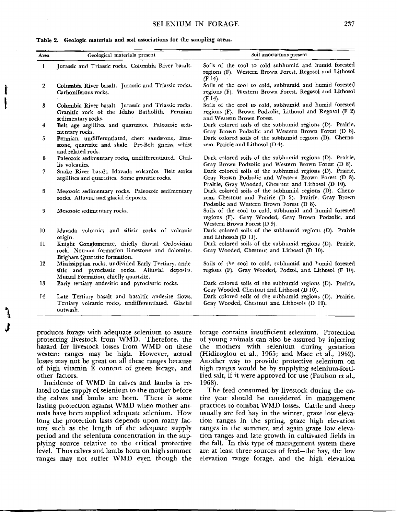Table 2. Geologic materials and soil **associations for the sampling areas.**

| Soils of the cool to cold subhumid and humid forested<br>regions (F). Western Brown Forest, Regosol and Lithosol<br>$(F 14)$ .                                         |  |  |  |  |  |
|------------------------------------------------------------------------------------------------------------------------------------------------------------------------|--|--|--|--|--|
| Soils of the cool to cold, subhumid and humid forested<br>regions (F). Western Brown Forest, Regosol and Lithosol                                                      |  |  |  |  |  |
| Soils of the cool to cold, subhumid and humid forested<br>regions $(F)$ . Brown Podzolic, Lithosol and Regosol $(F2)$                                                  |  |  |  |  |  |
| Dark colored soils of the subhumid regions (D). Prairie,<br>Gray Brown Podzolic and Western Brown Forest (D 8).                                                        |  |  |  |  |  |
| Dark colored soils of the subhumid regions (D). Cherno-                                                                                                                |  |  |  |  |  |
| Dark colored soils of the subhumid regions (D). Prairie,<br>Gray Brown Podzolic and Western Brown Forest (D 8).                                                        |  |  |  |  |  |
| Dark colored soils of the subhumid regions (D). Prairie,<br>Gray Brown Podzolic and Western Brown Forest (D 8).<br>Prairie, Gray Wooded, Chestnut and Lithosol (D 10). |  |  |  |  |  |
| Dark colored soils of the subhumid regions (D). Cheno-<br>zem, Chestnut and Prairie (D 2). Prairie, Gray Brown                                                         |  |  |  |  |  |
| Soils of the cool to cold, subhumid and humid forested<br>regions (F). Gray Wooded, Gray Brown Podzolic, and                                                           |  |  |  |  |  |
| Dark colored soils of the subhumid regions (D). Prairie                                                                                                                |  |  |  |  |  |
| Dark colored soils of the subhumid regions (D). Prairie,                                                                                                               |  |  |  |  |  |
| Soils of the cool to cold, subhumid and humid forested<br>regions (F). Gray Wooded, Podzol, and Lithosol (F 10).                                                       |  |  |  |  |  |
| Dark colored soils of the subhumid regions (D). Prairie,                                                                                                               |  |  |  |  |  |
| Dark colored soils of the subhumid regions (D). Prairie,                                                                                                               |  |  |  |  |  |
|                                                                                                                                                                        |  |  |  |  |  |

produces forage with adequate selenium to assure protecting livestock from WMD. Therefore, the hazard for livestock losses from WMD on these western ranges may be high. However, actual losses may not be great on all these ranges because of high vitamin E content of green forage, and other factors.

Incidence of WMD in calves and lambs is related to the supply of selenium to the mother before the calves and lambs are born. There is some lasting protection against WMD when mother animals have been supplied adequate selenium. How long the protection lasts depends upon many factors such as the length of the adequate supply period and the selenium concentration in the supplying source relative to the critical protective level. Thus calves and lambs born on high summer ranges may not suffer WMD even though the

forage contains insufficient selenium. Protection of young animals can also be assured by injecting the mothers with selenium during gestation (Hidiroglou et al., 1965; and Mace et al., 1962). Another way to provide protective selenium on high ranges would be by supplying selenium-fortified salt, if it were approved for use (Paulson et al., 1968).

The feed consumed by livestock during the entire year should be considered in management practices to combat WMD losses. Cattle and sheep usually are fed hay in the winter, graze low elevation ranges in the spring, graze high elevation ranges in the summer, and again graze low elevation ranges and late growth in cultivated fields in the fall. In this type of management system there are at least three sources of feed—the hay, the low elevation range forage, and the high elevation